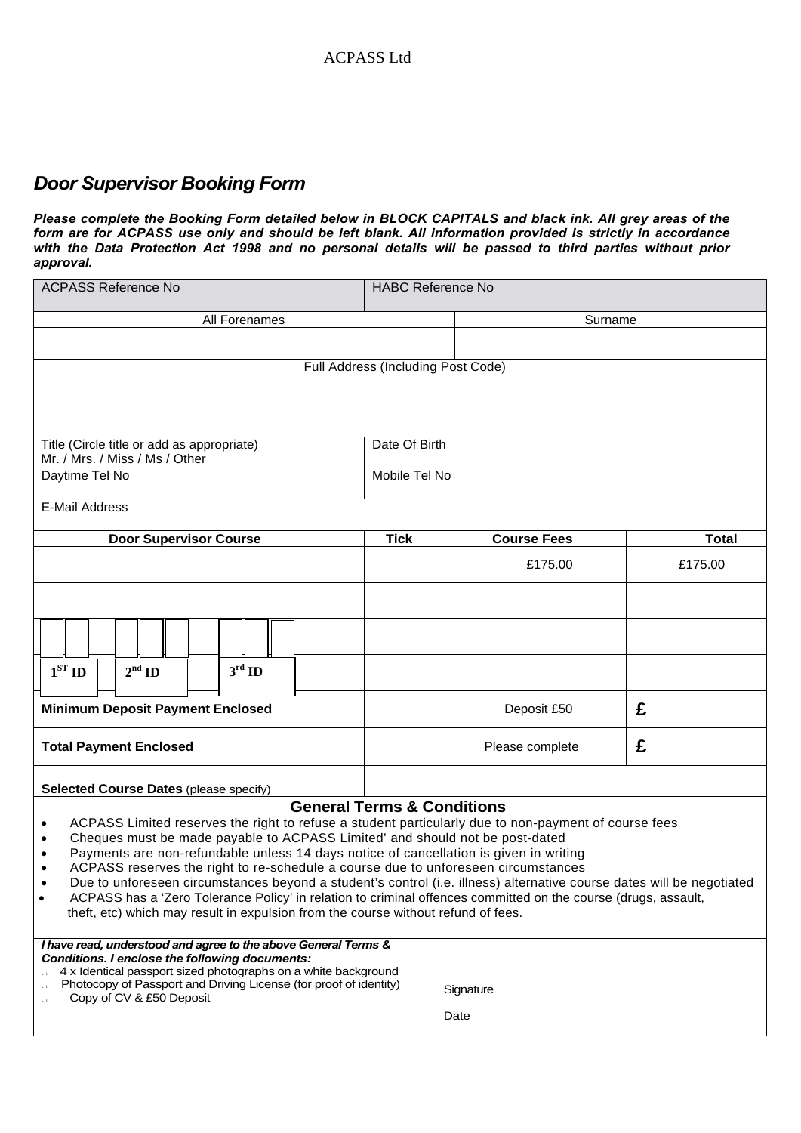# *Door Supervisor Booking Form*

*Please complete the Booking Form detailed below in BLOCK CAPITALS and black ink. All grey areas of the form are for ACPASS use only and should be left blank. All information provided is strictly in accordance with the Data Protection Act 1998 and no personal details will be passed to third parties without prior approval.* 

| <b>ACPASS Reference No</b>                                                                                                                                                                                                                                                                                                                                                                                                                                                                                                                                                                                                                                                                                                | <b>HABC Reference No</b> |                    |              |
|---------------------------------------------------------------------------------------------------------------------------------------------------------------------------------------------------------------------------------------------------------------------------------------------------------------------------------------------------------------------------------------------------------------------------------------------------------------------------------------------------------------------------------------------------------------------------------------------------------------------------------------------------------------------------------------------------------------------------|--------------------------|--------------------|--------------|
| All Forenames                                                                                                                                                                                                                                                                                                                                                                                                                                                                                                                                                                                                                                                                                                             |                          | Surname            |              |
|                                                                                                                                                                                                                                                                                                                                                                                                                                                                                                                                                                                                                                                                                                                           |                          |                    |              |
| Full Address (Including Post Code)                                                                                                                                                                                                                                                                                                                                                                                                                                                                                                                                                                                                                                                                                        |                          |                    |              |
|                                                                                                                                                                                                                                                                                                                                                                                                                                                                                                                                                                                                                                                                                                                           |                          |                    |              |
|                                                                                                                                                                                                                                                                                                                                                                                                                                                                                                                                                                                                                                                                                                                           |                          |                    |              |
| Title (Circle title or add as appropriate)<br>Mr. / Mrs. / Miss / Ms / Other                                                                                                                                                                                                                                                                                                                                                                                                                                                                                                                                                                                                                                              |                          | Date Of Birth      |              |
| Mobile Tel No<br>Daytime Tel No                                                                                                                                                                                                                                                                                                                                                                                                                                                                                                                                                                                                                                                                                           |                          |                    |              |
| <b>E-Mail Address</b>                                                                                                                                                                                                                                                                                                                                                                                                                                                                                                                                                                                                                                                                                                     |                          |                    |              |
|                                                                                                                                                                                                                                                                                                                                                                                                                                                                                                                                                                                                                                                                                                                           |                          |                    |              |
| <b>Door Supervisor Course</b>                                                                                                                                                                                                                                                                                                                                                                                                                                                                                                                                                                                                                                                                                             | <b>Tick</b>              | <b>Course Fees</b> | <b>Total</b> |
|                                                                                                                                                                                                                                                                                                                                                                                                                                                                                                                                                                                                                                                                                                                           |                          | £175.00            | £175.00      |
|                                                                                                                                                                                                                                                                                                                                                                                                                                                                                                                                                                                                                                                                                                                           |                          |                    |              |
|                                                                                                                                                                                                                                                                                                                                                                                                                                                                                                                                                                                                                                                                                                                           |                          |                    |              |
| $1ST$ ID<br>$3^{\rm rd}$ ID<br>$2^{\text{nd}}$ ID                                                                                                                                                                                                                                                                                                                                                                                                                                                                                                                                                                                                                                                                         |                          |                    |              |
| <b>Minimum Deposit Payment Enclosed</b>                                                                                                                                                                                                                                                                                                                                                                                                                                                                                                                                                                                                                                                                                   |                          | Deposit £50        | £            |
| <b>Total Payment Enclosed</b>                                                                                                                                                                                                                                                                                                                                                                                                                                                                                                                                                                                                                                                                                             |                          | Please complete    | £            |
| <b>Selected Course Dates (please specify)</b>                                                                                                                                                                                                                                                                                                                                                                                                                                                                                                                                                                                                                                                                             |                          |                    |              |
| <b>General Terms &amp; Conditions</b>                                                                                                                                                                                                                                                                                                                                                                                                                                                                                                                                                                                                                                                                                     |                          |                    |              |
| ACPASS Limited reserves the right to refuse a student particularly due to non-payment of course fees<br>$\bullet$<br>Cheques must be made payable to ACPASS Limited' and should not be post-dated<br>٠<br>Payments are non-refundable unless 14 days notice of cancellation is given in writing<br>٠<br>ACPASS reserves the right to re-schedule a course due to unforeseen circumstances<br>Due to unforeseen circumstances beyond a student's control (i.e. illness) alternative course dates will be negotiated<br>ACPASS has a 'Zero Tolerance Policy' in relation to criminal offences committed on the course (drugs, assault,<br>theft, etc) which may result in expulsion from the course without refund of fees. |                          |                    |              |
| I have read, understood and agree to the above General Terms &<br>Conditions. I enclose the following documents:<br>4 x Identical passport sized photographs on a white background<br>Photocopy of Passport and Driving License (for proof of identity)<br>Copy of CV & £50 Deposit                                                                                                                                                                                                                                                                                                                                                                                                                                       |                          | Signature<br>Date  |              |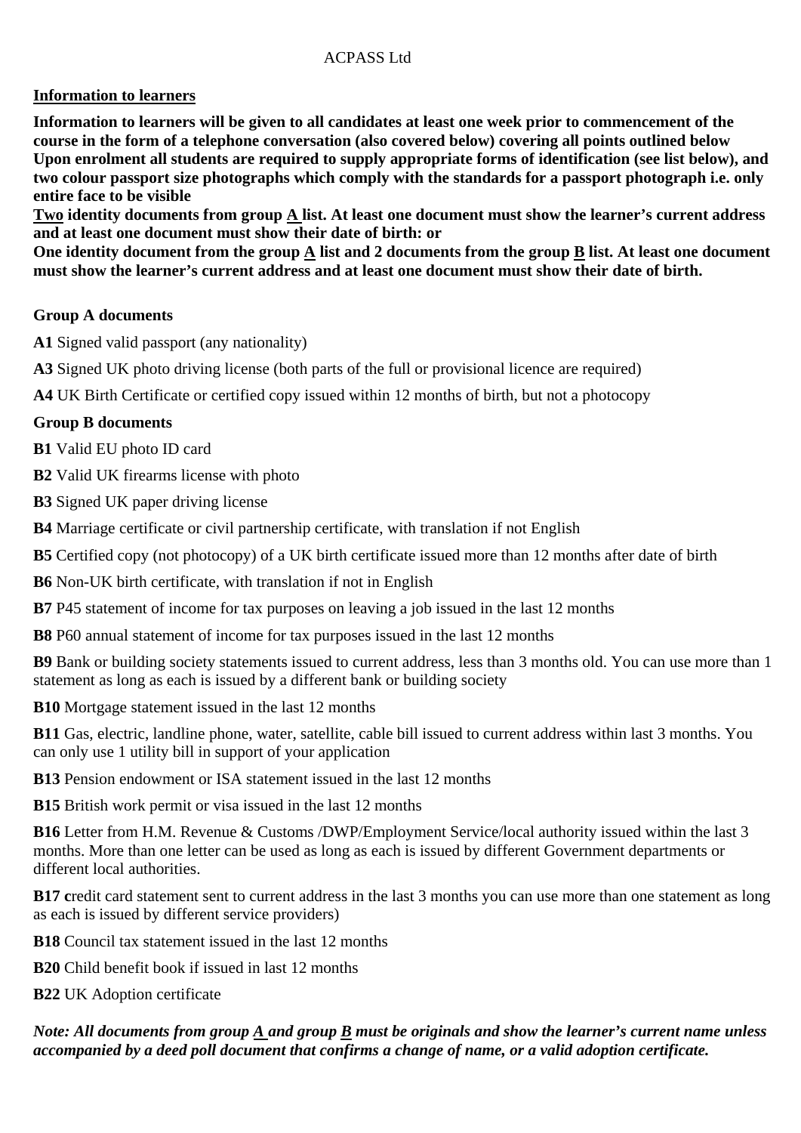# ACPASS Ltd

# **Information to learners**

**Information to learners will be given to all candidates at least one week prior to commencement of the course in the form of a telephone conversation (also covered below) covering all points outlined below Upon enrolment all students are required to supply appropriate forms of identification (see list below), and two colour passport size photographs which comply with the standards for a passport photograph i.e. only entire face to be visible** 

**Two identity documents from group A list. At least one document must show the learner's current address and at least one document must show their date of birth: or** 

**One identity document from the group A list and 2 documents from the group B list. At least one document must show the learner's current address and at least one document must show their date of birth.** 

# **Group A documents**

**A1** Signed valid passport (any nationality)

**A3** Signed UK photo driving license (both parts of the full or provisional licence are required)

**A4** UK Birth Certificate or certified copy issued within 12 months of birth, but not a photocopy

#### **Group B documents**

**B1** Valid EU photo ID card

**B2** Valid UK firearms license with photo

**B3** Signed UK paper driving license

**B4** Marriage certificate or civil partnership certificate, with translation if not English

**B5** Certified copy (not photocopy) of a UK birth certificate issued more than 12 months after date of birth

**B6** Non-UK birth certificate, with translation if not in English

**B7** P45 statement of income for tax purposes on leaving a job issued in the last 12 months

**B8** P60 annual statement of income for tax purposes issued in the last 12 months

**B9** Bank or building society statements issued to current address, less than 3 months old. You can use more than 1 statement as long as each is issued by a different bank or building society

**B10** Mortgage statement issued in the last 12 months

**B11** Gas, electric, landline phone, water, satellite, cable bill issued to current address within last 3 months. You can only use 1 utility bill in support of your application

**B13** Pension endowment or ISA statement issued in the last 12 months

**B15** British work permit or visa issued in the last 12 months

**B16** Letter from H.M. Revenue & Customs /DWP/Employment Service/local authority issued within the last 3 months. More than one letter can be used as long as each is issued by different Government departments or different local authorities.

**B17 c**redit card statement sent to current address in the last 3 months you can use more than one statement as long as each is issued by different service providers)

**B18** Council tax statement issued in the last 12 months

**B20** Child benefit book if issued in last 12 months

**B22** UK Adoption certificate

*Note: All documents from group A and group B must be originals and show the learner's current name unless accompanied by a deed poll document that confirms a change of name, or a valid adoption certificate.*